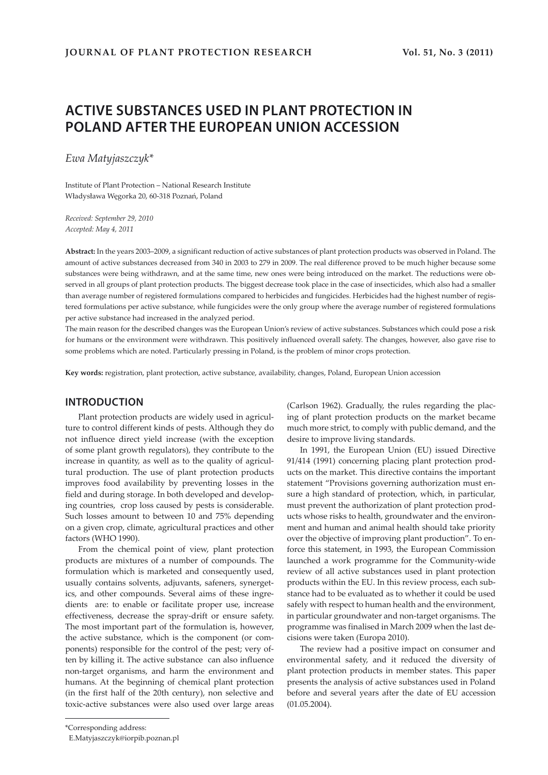# **ACTIVE SUBSTANCES USED IN PLANT PROTECTION IN POLAND AFTER THE EUROPEAN UNION ACCESSION**

*Ewa Matyjaszczyk\**

Institute of Plant Protection – National Research Institute Władysława Węgorka 20, 60-318 Poznań, Poland

*Received: September 29, 2010 Accepted: May 4, 2011*

**Abstract:** In the years 2003–2009, a significant reduction of active substances of plant protection products was observed in Poland. The amount of active substances decreased from 340 in 2003 to 279 in 2009. The real difference proved to be much higher because some substances were being withdrawn, and at the same time, new ones were being introduced on the market. The reductions were observed in all groups of plant protection products. The biggest decrease took place in the case of insecticides, which also had a smaller than average number of registered formulations compared to herbicides and fungicides. Herbicides had the highest number of registered formulations per active substance, while fungicides were the only group where the average number of registered formulations per active substance had increased in the analyzed period.

The main reason for the described changes was the European Union's review of active substances. Substances which could pose a risk for humans or the environment were withdrawn. This positively influenced overall safety. The changes, however, also gave rise to some problems which are noted. Particularly pressing in Poland, is the problem of minor crops protection.

**Key words:** registration, plant protection, active substance, availability, changes, Poland, European Union accession

### **INTRODUCTION**

Plant protection products are widely used in agriculture to control different kinds of pests. Although they do not influence direct yield increase (with the exception of some plant growth regulators), they contribute to the increase in quantity, as well as to the quality of agricultural production. The use of plant protection products improves food availability by preventing losses in the field and during storage. In both developed and developing countries, crop loss caused by pests is considerable. Such losses amount to between 10 and 75% depending on a given crop, climate, agricultural practices and other factors (WHO 1990).

From the chemical point of view, plant protection products are mixtures of a number of compounds. The formulation which is marketed and consequently used, usually contains solvents, adjuvants, safeners, synergetics, and other compounds. Several aims of these ingredients are: to enable or facilitate proper use, increase effectiveness, decrease the spray-drift or ensure safety. The most important part of the formulation is, however, the active substance, which is the component (or components) responsible for the control of the pest; very often by killing it. The active substance can also influence non-target organisms, and harm the environment and humans. At the beginning of chemical plant protection (in the first half of the 20th century), non selective and toxic-active substances were also used over large areas (Carlson 1962). Gradually, the rules regarding the placing of plant protection products on the market became much more strict, to comply with public demand, and the desire to improve living standards.

In 1991, the European Union (EU) issued Directive 91/414 (1991) concerning placing plant protection products on the market. This directive contains the important statement "Provisions governing authorization must ensure a high standard of protection, which, in particular, must prevent the authorization of plant protection products whose risks to health, groundwater and the environment and human and animal health should take priority over the objective of improving plant production". To enforce this statement, in 1993, the European Commission launched a work programme for the Community-wide review of all active substances used in plant protection products within the EU. In this review process, each substance had to be evaluated as to whether it could be used safely with respect to human health and the environment, in particular groundwater and non-target organisms. The programme was finalised in March 2009 when the last decisions were taken (Europa 2010).

The review had a positive impact on consumer and environmental safety, and it reduced the diversity of plant protection products in member states. This paper presents the analysis of active substances used in Poland before and several years after the date of EU accession (01.05.2004).

<sup>\*</sup>Corresponding address:

E.Matyjaszczyk@iorpib.poznan.pl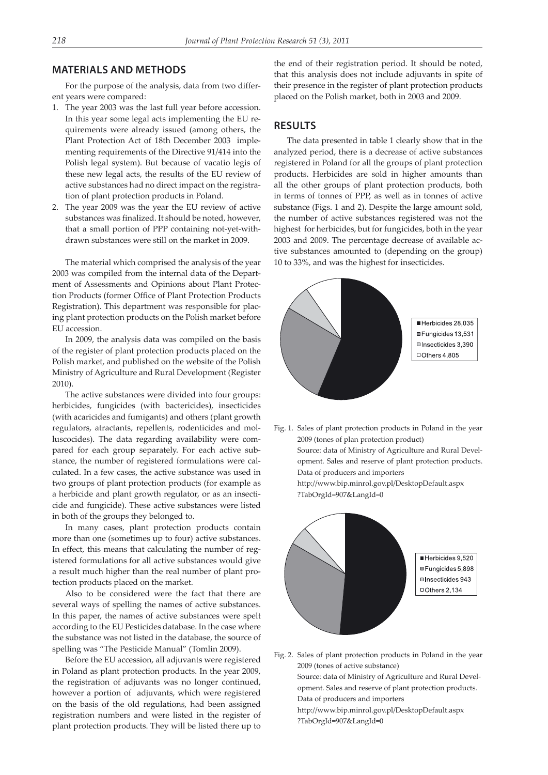## **MATERIALS AND METHODS**

For the purpose of the analysis, data from two different years were compared:

- 1. The year 2003 was the last full year before accession. In this year some legal acts implementing the EU requirements were already issued (among others, the Plant Protection Act of 18th December 2003 implementing requirements of the Directive 91/414 into the Polish legal system). But because of vacatio legis of these new legal acts, the results of the EU review of active substances had no direct impact on the registration of plant protection products in Poland.
- 2. The year 2009 was the year the EU review of active substances was finalized. It should be noted, however, that a small portion of PPP containing not-yet-withdrawn substances were still on the market in 2009.

The material which comprised the analysis of the year 2003 was compiled from the internal data of the Department of Assessments and Opinions about Plant Protection Products (former Office of Plant Protection Products Registration). This department was responsible for placing plant protection products on the Polish market before EU accession.

In 2009, the analysis data was compiled on the basis of the register of plant protection products placed on the Polish market, and published on the website of the Polish Ministry of Agriculture and Rural Development (Register 2010).

The active substances were divided into four groups: herbicides, fungicides (with bactericides), insecticides (with acaricides and fumigants) and others (plant growth regulators, atractants, repellents, rodenticides and molluscocides). The data regarding availability were compared for each group separately. For each active substance, the number of registered formulations were calculated. In a few cases, the active substance was used in two groups of plant protection products (for example as a herbicide and plant growth regulator, or as an insecticide and fungicide). These active substances were listed in both of the groups they belonged to.

In many cases, plant protection products contain more than one (sometimes up to four) active substances. In effect, this means that calculating the number of registered formulations for all active substances would give a result much higher than the real number of plant protection products placed on the market.

Also to be considered were the fact that there are several ways of spelling the names of active substances. In this paper, the names of active substances were spelt according to the EU Pesticides database. In the case where the substance was not listed in the database, the source of spelling was "The Pesticide Manual" (Tomlin 2009).

Before the EU accession, all adjuvants were registered in Poland as plant protection products. In the year 2009, the registration of adjuvants was no longer continued, however a portion of adjuvants, which were registered on the basis of the old regulations, had been assigned registration numbers and were listed in the register of plant protection products. They will be listed there up to

the end of their registration period. It should be noted, that this analysis does not include adjuvants in spite of their presence in the register of plant protection products placed on the Polish market, both in 2003 and 2009.

## **RESULTS**

The data presented in table 1 clearly show that in the analyzed period, there is a decrease of active substances registered in Poland for all the groups of plant protection products. Herbicides are sold in higher amounts than all the other groups of plant protection products, both in terms of tonnes of PPP, as well as in tonnes of active substance (Figs. 1 and 2). Despite the large amount sold, the number of active substances registered was not the highest for herbicides, but for fungicides, both in the year 2003 and 2009. The percentage decrease of available active substances amounted to (depending on the group) 10 to 33%, and was the highest for insecticides.



Fig. 1. Sales of plant protection products in Poland in the year 2009 (tones of plan protection product) Source: data of Ministry of Agriculture and Rural Development. Sales and reserve of plant protection products. Data of producers and importers http://www.bip.minrol.gov.pl/DesktopDefault.aspx ?TabOrgId=907&LangId=0



Fig. 2. Sales of plant protection products in Poland in the year 2009 (tones of active substance)

Source: data of Ministry of Agriculture and Rural Development. Sales and reserve of plant protection products. Data of producers and importers http://www.bip.minrol.gov.pl/DesktopDefault.aspx ?TabOrgId=907&LangId=0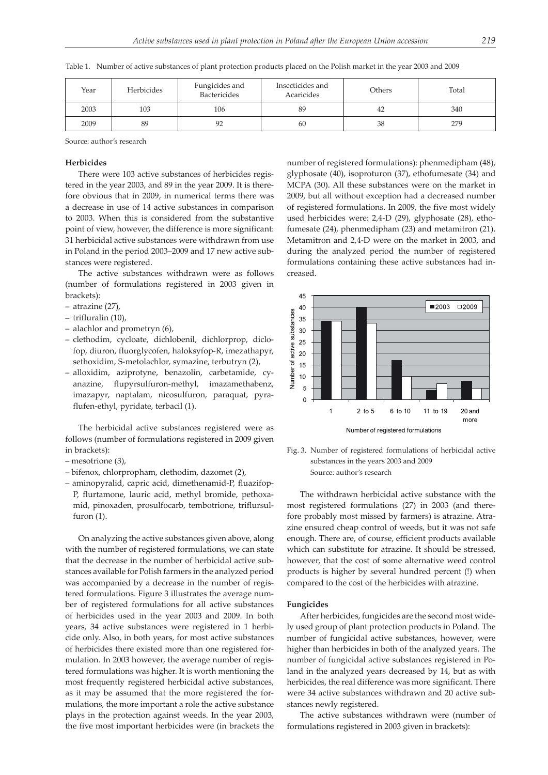Table 1. Number of active substances of plant protection products placed on the Polish market in the year 2003 and 2009

| Year | Herbicides | Fungicides and<br>Bactericides | Insecticides and<br>Acaricides | Others | Total |
|------|------------|--------------------------------|--------------------------------|--------|-------|
| 2003 | 103        | 106                            | 89                             | 42     | 340   |
| 2009 | 89         |                                | 60                             | 38     | 279   |

Source: author's research

#### **Herbicides**

There were 103 active substances of herbicides registered in the year 2003, and 89 in the year 2009. It is therefore obvious that in 2009, in numerical terms there was a decrease in use of 14 active substances in comparison to 2003. When this is considered from the substantive point of view, however, the difference is more significant: 31 herbicidal active substances were withdrawn from use in Poland in the period 2003–2009 and 17 new active substances were registered.

The active substances withdrawn were as follows (number of formulations registered in 2003 given in brackets):

- atrazine (27),
- trifluralin (10),
- alachlor and prometryn (6),
- clethodim, cycloate, dichlobenil, dichlorprop, diclofop, diuron, fluorglycofen, haloksyfop-R, imezathapyr, sethoxidim, S-metolachlor, symazine, terbutryn (2),
- alloxidim, aziprotyne, benazolin, carbetamide, cyanazine, flupyrsulfuron-methyl, imazamethabenz, imazapyr, naptalam, nicosulfuron, paraquat, pyraflufen-ethyl, pyridate, terbacil (1).

The herbicidal active substances registered were as follows (number of formulations registered in 2009 given in brackets):

- mesotrione (3),
- bifenox, chlorpropham, clethodim, dazomet (2),
- aminopyralid, capric acid, dimethenamid-P, fluazifop-P, flurtamone, lauric acid, methyl bromide, pethoxamid, pinoxaden, prosulfocarb, tembotrione, triflursulfuron (1).

On analyzing the active substances given above, along with the number of registered formulations, we can state that the decrease in the number of herbicidal active substances available for Polish farmers in the analyzed period was accompanied by a decrease in the number of registered formulations. Figure 3 illustrates the average number of registered formulations for all active substances of herbicides used in the year 2003 and 2009. In both years, 34 active substances were registered in 1 herbicide only. Also, in both years, for most active substances of herbicides there existed more than one registered formulation. In 2003 however, the average number of registered formulations was higher. It is worth mentioning the most frequently registered herbicidal active substances, as it may be assumed that the more registered the formulations, the more important a role the active substance plays in the protection against weeds. In the year 2003, the five most important herbicides were (in brackets the number of registered formulations): phenmedipham (48), glyphosate (40), isoproturon (37), ethofumesate (34) and MCPA (30). All these substances were on the market in 2009, but all without exception had a decreased number of registered formulations. In 2009, the five most widely used herbicides were: 2,4-D (29), glyphosate (28), ethofumesate (24), phenmedipham (23) and metamitron (21). Metamitron and 2,4-D were on the market in 2003, and during the analyzed period the number of registered formulations containing these active substances had increased.





The withdrawn herbicidal active substance with the most registered formulations (27) in 2003 (and therefore probably most missed by farmers) is atrazine. Atrazine ensured cheap control of weeds, but it was not safe enough. There are, of course, efficient products available which can substitute for atrazine. It should be stressed, however, that the cost of some alternative weed control products is higher by several hundred percent (!) when compared to the cost of the herbicides with atrazine.

#### **Fungicides**

After herbicides, fungicides are the second most widely used group of plant protection products in Poland. The number of fungicidal active substances, however, were higher than herbicides in both of the analyzed years. The number of fungicidal active substances registered in Poland in the analyzed years decreased by 14, but as with herbicides, the real difference was more significant. There were 34 active substances withdrawn and 20 active substances newly registered.

The active substances withdrawn were (number of formulations registered in 2003 given in brackets):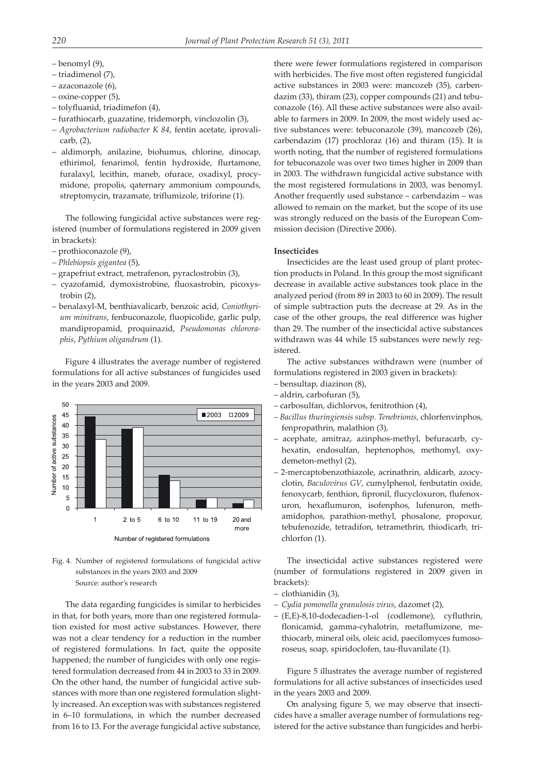- benomyl (9),
- triadimenol (7),
- azaconazole (6),
- oxine-copper (5),
- tolyfluanid, triadimefon (4),
- furathiocarb, guazatine, tridemorph, vinclozolin (3),
- *Agrobacterium radiobacter K 84*, fentin acetate, iprovalicarb, (2),
- aldimorph, anilazine, biohumus, chlorine, dinocap, ethirimol, fenarimol, fentin hydroxide, flurtamone, furalaxyl, lecithin, maneb, ofurace, oxadixyl, procymidone, propolis, qaternary ammonium compounds, streptomycin, trazamate, triflumizole, triforine (1).

The following fungicidal active substances were registered (number of formulations registered in 2009 given in brackets):

- prothioconazole (9),
- *Phlebiopsis gigantea* (5),
- grapefriut extract, metrafenon, pyraclostrobin (3),
- cyazofamid, dymoxistrobine, fluoxastrobin, picoxystrobin (2),
- benalaxyl-M, benthiavalicarb, benzoic acid, *Coniothyrium minitrans*, fenbuconazole, fluopicolide, garlic pulp, mandipropamid, proquinazid, *Pseudomonas chlororaphis*, *Pythium oligandrum* (1).

Figure 4 illustrates the average number of registered formulations for all active substances of fungicides used in the years 2003 and 2009.



Fig. 4. Number of registered formulations of fungicidal active substances in the years 2003 and 2009 Source: author's research

The data regarding fungicides is similar to herbicides in that, for both years, more than one registered formulation existed for most active substances. However, there was not a clear tendency for a reduction in the number of registered formulations. In fact, quite the opposite happened; the number of fungicides with only one registered formulation decreased from 44 in 2003 to 33 in 2009. On the other hand, the number of fungicidal active substances with more than one registered formulation slightly increased. An exception was with substances registered in 6–10 formulations, in which the number decreased from 16 to 13. For the average fungicidal active substance, there were fewer formulations registered in comparison with herbicides. The five most often registered fungicidal active substances in 2003 were: mancozeb (35), carbendazim (33), thiram (23), copper compounds (21) and tebuconazole (16). All these active substances were also available to farmers in 2009. In 2009, the most widely used active substances were: tebuconazole (39), mancozeb (26), carbendazim (17) prochloraz (16) and thiram (15). It is worth noting, that the number of registered formulations for tebuconazole was over two times higher in 2009 than in 2003. The withdrawn fungicidal active substance with the most registered formulations in 2003, was benomyl. Another frequently used substance – carbendazim – was allowed to remain on the market, but the scope of its use was strongly reduced on the basis of the European Commission decision (Directive 2006).

#### **Insecticides**

Insecticides are the least used group of plant protection products in Poland. In this group the most significant decrease in available active substances took place in the analyzed period (from 89 in 2003 to 60 in 2009). The result of simple subtraction puts the decrease at 29. As in the case of the other groups, the real difference was higher than 29. The number of the insecticidal active substances withdrawn was 44 while 15 substances were newly registered.

The active substances withdrawn were (number of formulations registered in 2003 given in brackets):

- bensultap, diazinon (8),
- aldrin, carbofuran (5),
- carbosulfan, dichlorvos, fenitrothion (4),
- *Bacillus thuringiensis subsp. Tenebrionis*, chlorfenvinphos, fenpropathrin, malathion (3),
- acephate, amitraz, azinphos-methyl, befuracarb, cyhexatin, endosulfan, heptenophos, methomyl, oxydemeton-methyl (2),
- 2-mercaptobenzothiazole, acrinathrin, aldicarb, azocyclotin, *Baculovirus GV*, cumylphenol, fenbutatin oxide, fenoxycarb, fenthion, fipronil, flucycloxuron, flufenoxuron, hexaflumuron, isofenphos, lufenuron, methamidophos, parathion-methyl, phosalone, propoxur, tebufenozide, tetradifon, tetramethrin, thiodicarb, trichlorfon (1).

The insecticidal active substances registered were (number of formulations registered in 2009 given in brackets):

- clothianidin (3),
- *– Cydia pomonella granulosis virus*, dazomet (2),
- (E,E)-8,10-dodecadien-1-ol (codlemone), cyfluthrin, flonicamid, gamma-cyhalotrin, metaflumizone, methiocarb, mineral oils, oleic acid, paecilomyces fumosoroseus, soap, spiridoclofen, tau-fluvanilate (1).

Figure 5 illustrates the average number of registered formulations for all active substances of insecticides used in the years 2003 and 2009.

On analysing figure 5, we may observe that insecticides have a smaller average number of formulations registered for the active substance than fungicides and herbi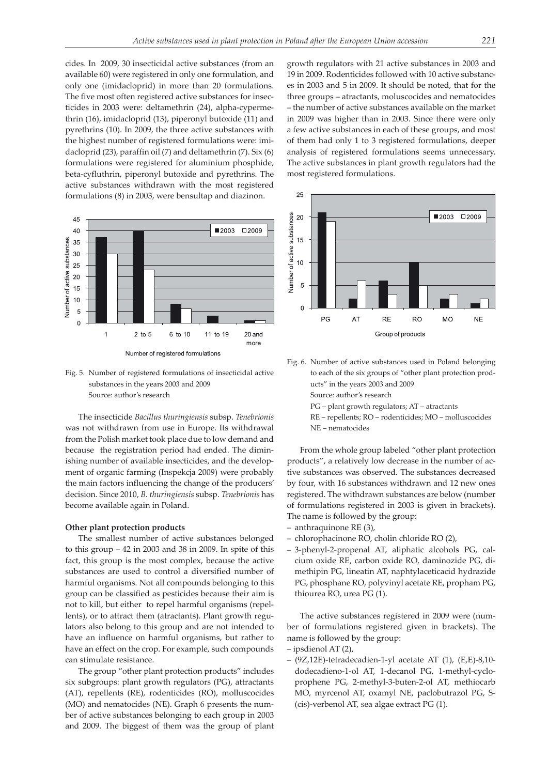cides. In 2009, 30 insecticidal active substances (from an available 60) were registered in only one formulation, and only one (imidacloprid) in more than 20 formulations. The five most often registered active substances for insecticides in 2003 were: deltamethrin (24), alpha-cypermethrin (16), imidacloprid (13), piperonyl butoxide (11) and pyrethrins (10). In 2009, the three active substances with the highest number of registered formulations were: imidacloprid (23), paraffin oil (7) and deltamethrin (7). Six (6) formulations were registered for aluminium phosphide, beta-cyfluthrin, piperonyl butoxide and pyrethrins. The active substances withdrawn with the most registered formulations (8) in 2003, were bensultap and diazinon.



Fig. 5. Number of registered formulations of insecticidal active substances in the years 2003 and 2009 Source: author's research

The insecticide *Bacillus thuringiensis* subsp. *Tenebrionis* was not withdrawn from use in Europe. Its withdrawal from the Polish market took place due to low demand and because the registration period had ended. The diminishing number of available insecticides, and the development of organic farming (Inspekcja 2009) were probably the main factors influencing the change of the producers' decision. Since 2010, *B. thuringiensis* subsp. *Tenebrionis* has become available again in Poland.

#### **Other plant protection products**

The smallest number of active substances belonged to this group – 42 in 2003 and 38 in 2009. In spite of this fact, this group is the most complex, because the active substances are used to control a diversified number of harmful organisms. Not all compounds belonging to this group can be classified as pesticides because their aim is not to kill, but either to repel harmful organisms (repellents), or to attract them (atractants). Plant growth regulators also belong to this group and are not intended to have an influence on harmful organisms, but rather to have an effect on the crop. For example, such compounds can stimulate resistance.

The group "other plant protection products" includes six subgroups: plant growth regulators (PG), attractants (AT), repellents (RE), rodenticides (RO), molluscocides (MO) and nematocides (NE). Graph 6 presents the number of active substances belonging to each group in 2003 and 2009. The biggest of them was the group of plant growth regulators with 21 active substances in 2003 and 19 in 2009. Rodenticides followed with 10 active substances in 2003 and 5 in 2009. It should be noted, that for the three groups – atractants, moluscocides and nematocides – the number of active substances available on the market in 2009 was higher than in 2003. Since there were only a few active substances in each of these groups, and most of them had only 1 to 3 registered formulations, deeper analysis of registered formulations seems unnecessary. The active substances in plant growth regulators had the most registered formulations.



Fig. 6. Number of active substances used in Poland belonging to each of the six groups of "other plant protection products" in the years 2003 and 2009

Source: author's research

- PG plant growth regulators; AT atractants
- RE repellents; RO rodenticides; MO molluscocides NE – nematocides

From the whole group labeled "other plant protection products", a relatively low decrease in the number of active substances was observed. The substances decreased by four, with 16 substances withdrawn and 12 new ones registered. The withdrawn substances are below (number of formulations registered in 2003 is given in brackets). The name is followed by the group:

- anthraquinone RE (3),
- chlorophacinone RO, cholin chloride RO (2),
- 3-phenyl-2-propenal AT, aliphatic alcohols PG, calcium oxide RE, carbon oxide RO, daminozide PG, dimethipin PG, lineatin AT, naphtylaceticacid hydrazide PG, phosphane RO, polyvinyl acetate RE, propham PG, thiourea RO, urea PG (1).

The active substances registered in 2009 were (number of formulations registered given in brackets). The name is followed by the group:

- ipsdienol AT (2),
- (9Z,12E)-tetradecadien-1-yl acetate AT (1), (E,E)-8,10 dodecadieno-1-ol AT, 1-decanol PG, 1-methyl-cycloprophene PG, 2-methyl-3-buten-2-ol AT, methiocarb MO, myrcenol AT, oxamyl NE, paclobutrazol PG, S- (cis)-verbenol AT, sea algae extract PG (1).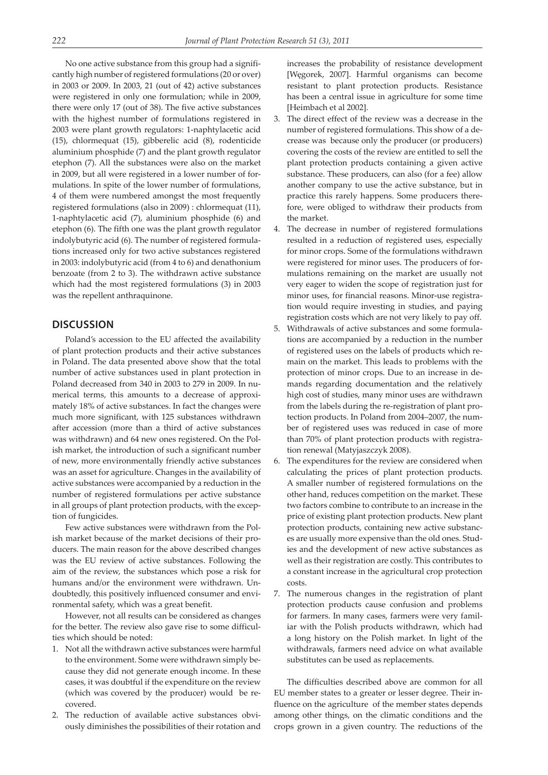No one active substance from this group had a significantly high number of registered formulations (20 or over) in 2003 or 2009. In 2003, 21 (out of 42) active substances were registered in only one formulation; while in 2009, there were only 17 (out of 38). The five active substances with the highest number of formulations registered in 2003 were plant growth regulators: 1-naphtylacetic acid (15), chlormequat (15), gibberelic acid (8), rodenticide aluminium phosphide (7) and the plant growth regulator etephon (7). All the substances were also on the market in 2009, but all were registered in a lower number of formulations. In spite of the lower number of formulations, 4 of them were numbered amongst the most frequently registered formulations (also in 2009) : chlormequat (11), 1-naphtylacetic acid (7), aluminium phosphide (6) and etephon (6). The fifth one was the plant growth regulator indolybutyric acid (6). The number of registered formulations increased only for two active substances registered in 2003: indolybutyric acid (from 4 to 6) and denathonium benzoate (from 2 to 3). The withdrawn active substance which had the most registered formulations (3) in 2003 was the repellent anthraquinone.

## **DISCUSSION**

Poland's accession to the EU affected the availability of plant protection products and their active substances in Poland. The data presented above show that the total number of active substances used in plant protection in Poland decreased from 340 in 2003 to 279 in 2009. In numerical terms, this amounts to a decrease of approximately 18% of active substances. In fact the changes were much more significant, with 125 substances withdrawn after accession (more than a third of active substances was withdrawn) and 64 new ones registered. On the Polish market, the introduction of such a significant number of new, more environmentally friendly active substances was an asset for agriculture. Changes in the availability of active substances were accompanied by a reduction in the number of registered formulations per active substance in all groups of plant protection products, with the exception of fungicides.

Few active substances were withdrawn from the Polish market because of the market decisions of their producers. The main reason for the above described changes was the EU review of active substances. Following the aim of the review, the substances which pose a risk for humans and/or the environment were withdrawn. Undoubtedly, this positively influenced consumer and environmental safety, which was a great benefit.

However, not all results can be considered as changes for the better. The review also gave rise to some difficulties which should be noted:

- 1. Not all the withdrawn active substances were harmful to the environment. Some were withdrawn simply because they did not generate enough income. In these cases, it was doubtful if the expenditure on the review (which was covered by the producer) would be recovered.
- 2. The reduction of available active substances obviously diminishes the possibilities of their rotation and

increases the probability of resistance development [Węgorek, 2007]. Harmful organisms can become resistant to plant protection products. Resistance has been a central issue in agriculture for some time [Heimbach et al 2002].

- 3. The direct effect of the review was a decrease in the number of registered formulations. This show of a decrease was because only the producer (or producers) covering the costs of the review are entitled to sell the plant protection products containing a given active substance. These producers, can also (for a fee) allow another company to use the active substance, but in practice this rarely happens. Some producers therefore, were obliged to withdraw their products from the market.
- 4. The decrease in number of registered formulations resulted in a reduction of registered uses, especially for minor crops. Some of the formulations withdrawn were registered for minor uses. The producers of formulations remaining on the market are usually not very eager to widen the scope of registration just for minor uses, for financial reasons. Minor-use registration would require investing in studies, and paying registration costs which are not very likely to pay off.
- 5. Withdrawals of active substances and some formulations are accompanied by a reduction in the number of registered uses on the labels of products which remain on the market. This leads to problems with the protection of minor crops. Due to an increase in demands regarding documentation and the relatively high cost of studies, many minor uses are withdrawn from the labels during the re-registration of plant protection products. In Poland from 2004–2007, the number of registered uses was reduced in case of more than 70% of plant protection products with registration renewal (Matyjaszczyk 2008).
- 6. The expenditures for the review are considered when calculating the prices of plant protection products. A smaller number of registered formulations on the other hand, reduces competition on the market. These two factors combine to contribute to an increase in the price of existing plant protection products. New plant protection products, containing new active substances are usually more expensive than the old ones. Studies and the development of new active substances as well as their registration are costly. This contributes to a constant increase in the agricultural crop protection costs.
- 7. The numerous changes in the registration of plant protection products cause confusion and problems for farmers. In many cases, farmers were very familiar with the Polish products withdrawn, which had a long history on the Polish market. In light of the withdrawals, farmers need advice on what available substitutes can be used as replacements.

The difficulties described above are common for all EU member states to a greater or lesser degree. Their influence on the agriculture of the member states depends among other things, on the climatic conditions and the crops grown in a given country. The reductions of the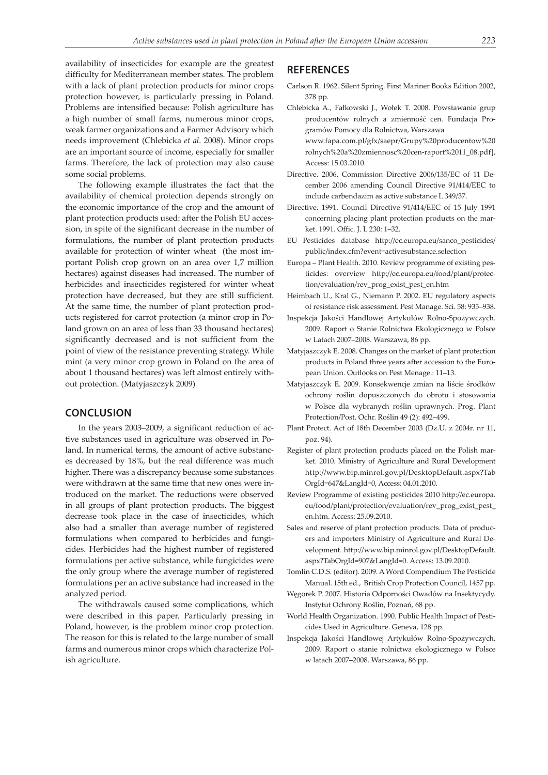availability of insecticides for example are the greatest difficulty for Mediterranean member states. The problem with a lack of plant protection products for minor crops protection however, is particularly pressing in Poland. Problems are intensified because: Polish agriculture has a high number of small farms, numerous minor crops, weak farmer organizations and a Farmer Advisory which needs improvement (Chlebicka *et al*. 2008). Minor crops are an important source of income, especially for smaller farms. Therefore, the lack of protection may also cause some social problems.

The following example illustrates the fact that the availability of chemical protection depends strongly on the economic importance of the crop and the amount of plant protection products used: after the Polish EU accession, in spite of the significant decrease in the number of formulations, the number of plant protection products available for protection of winter wheat (the most important Polish crop grown on an area over 1,7 million hectares) against diseases had increased. The number of herbicides and insecticides registered for winter wheat protection have decreased, but they are still sufficient. At the same time, the number of plant protection products registered for carrot protection (a minor crop in Poland grown on an area of less than 33 thousand hectares) significantly decreased and is not sufficient from the point of view of the resistance preventing strategy. While mint (a very minor crop grown in Poland on the area of about 1 thousand hectares) was left almost entirely without protection. (Matyjaszczyk 2009)

#### **CONCLUSION**

In the years 2003–2009, a significant reduction of active substances used in agriculture was observed in Poland. In numerical terms, the amount of active substances decreased by 18%, but the real difference was much higher. There was a discrepancy because some substances were withdrawn at the same time that new ones were introduced on the market. The reductions were observed in all groups of plant protection products. The biggest decrease took place in the case of insecticides, which also had a smaller than average number of registered formulations when compared to herbicides and fungicides. Herbicides had the highest number of registered formulations per active substance, while fungicides were the only group where the average number of registered formulations per an active substance had increased in the analyzed period.

The withdrawals caused some complications, which were described in this paper. Particularly pressing in Poland, however, is the problem minor crop protection. The reason for this is related to the large number of small farms and numerous minor crops which characterize Polish agriculture.

#### **REFERENCES**

- Carlson R. 1962. Silent Spring. First Mariner Books Edition 2002, 378 pp.
- Chlebicka A., Fałkowski J., Wołek T. 2008. Powstawanie grup producentów rolnych a zmienność cen. Fundacja Programów Pomocy dla Rolnictwa, Warszawa www.fapa.com.pl/gfx/saepr/Grupy%20producentow%20 rolnych%20a%20zmiennosc%20cen-raport%2011\_08.pdf], Access: 15.03.2010.
- Directive. 2006. Commission Directive 2006/135/EC of 11 December 2006 amending Council Directive 91/414/EEC to include carbendazim as active substance L 349/37.
- Directive. 1991. Council Directive 91/414/EEC of 15 July 1991 concerning placing plant protection products on the market. 1991. Offic. J. L 230: 1–32.
- EU Pesticides database http://ec.europa.eu/sanco\_pesticides/ public/index.cfm?event=activesubstance.selection
- Europa Plant Health. 2010. Review programme of existing pesticides: overview http://ec.europa.eu/food/plant/protection/evaluation/rev\_prog\_exist\_pest\_en.htm
- Heimbach U., Kral G., Niemann P. 2002. EU regulatory aspects of resistance risk assessment. Pest Manage. Sci. 58: 935–938.
- Inspekcja Jakości Handlowej Artykułów Rolno-Spożywczych. 2009. Raport o Stanie Rolnictwa Ekologicznego w Polsce w Latach 2007–2008. Warszawa, 86 pp.
- Matyjaszczyk E. 2008. Changes on the market of plant protection products in Poland three years after accession to the European Union. Outlooks on Pest Menage.: 11–13.
- Matyjaszczyk E. 2009. Konsekwencje zmian na liście środków ochrony roślin dopuszczonych do obrotu i stosowania w Polsce dla wybranych roślin uprawnych. Prog. Plant Protection/Post. Ochr. Roślin 49 (2): 492–499.
- Plant Protect. Act of 18th December 2003 (Dz.U. z 2004r. nr 11, poz. 94).
- Register of plant protection products placed on the Polish market. 2010. Ministry of Agriculture and Rural Development http://www.bip.minrol.gov.pl/DesktopDefault.aspx?Tab OrgId=647&LangId=0, Access: 04.01.2010.
- Review Programme of existing pesticides 2010 http://ec.europa. eu/food/plant/protection/evaluation/rev\_prog\_exist\_pest\_ en.htm. Access: 25.09.2010.
- Sales and reserve of plant protection products. Data of producers and importers Ministry of Agriculture and Rural Development. http://www.bip.minrol.gov.pl/DesktopDefault. aspx?TabOrgId=907&LangId=0. Access: 13.09.2010.
- Tomlin C.D.S. (editor). 2009. A Word Compendium The Pesticide Manual. 15th ed., British Crop Protection Council, 1457 pp.
- Węgorek P. 2007. Historia Odporności Owadów na Insektycydy. Instytut Ochrony Roślin, Poznań, 68 pp.
- World Health Organization. 1990. Public Health Impact of Pesticides Used in Agriculture. Geneva, 128 pp.
- Inspekcja Jakości Handlowej Artykułów Rolno-Spożywczych. 2009. Raport o stanie rolnictwa ekologicznego w Polsce w latach 2007–2008. Warszawa, 86 pp.